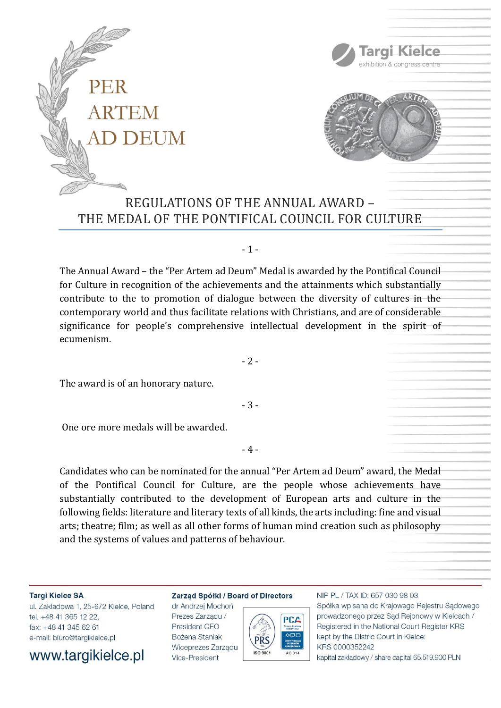



Targi Kielce exhibition & congress centre

# REGULATIONS OF THE ANNUAL AWARD – THE MEDAL OF THE PONTIFICAL COUNCIL FOR CULTURE

# - 1 -

The Annual Award – the "Per Artem ad Deum" Medal is awarded by the Pontifical Council for Culture in recognition of the achievements and the attainments which substantially contribute to the to promotion of dialogue between the diversity of cultures in the contemporary world and thus facilitate relations with Christians, and are of considerable significance for people's comprehensive intellectual development in the spirit of ecumenism.

 $-2-$ 

The award is of an honorary nature.

- 3 -

One ore more medals will be awarded.

- 4 -

Candidates who can be nominated for the annual "Per Artem ad Deum" award, the Medal of the Pontifical Council for Culture, are the people whose achievements have substantially contributed to the development of European arts and culture in the following fields: literature and literary texts of all kinds, the arts including: fine and visual arts; theatre; film; as well as all other forms of human mind creation such as philosophy and the systems of values and patterns of behaviour.

#### **Targi Kielce SA**

ul. Zakładowa 1, 25-672 Kielce, Poland tel. +48 41 365 12 22. fax: +48 41 345 62 61 e-mail: biuro@targikielce.pl



## Zarząd Spółki / Board of Directors

dr Andrzej Mochoń Prezes Zarzadu / President CEO Bożena Staniak Wiceprezes Zarządu Vice-President



## NIP PL / TAX ID: 657 030 98 03 Spółka wpisana do Krajowego Rejestru Sądowego prowadzonego przez Sąd Rejonowy w Kielcach / Registered in the National Court Register KRS kept by the Distric Court in Kielce: KRS 0000352242 kapitał zakładowy / share capital 65.519.900 PLN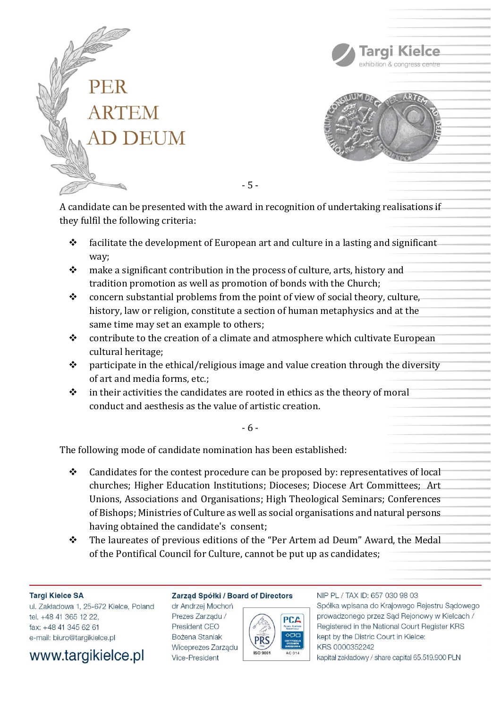



Targi Kielce

A candidate can be presented with the award in recognition of undertaking realisations if they fulfil the following criteria:

- 5 -

- $\triangle$  facilitate the development of European art and culture in a lasting and significant way;
- ❖ make a significant contribution in the process of culture, arts, history and tradition promotion as well as promotion of bonds with the Church;
- ❖ concern substantial problems from the point of view of social theory, culture, history, law or religion, constitute a section of human metaphysics and at the same time may set an example to others;
- ❖ contribute to the creation of a climate and atmosphere which cultivate European cultural heritage;
- $\dots$  participate in the ethical/religious image and value creation through the diversity of art and media forms, etc.;
- $\cdot \cdot$  in their activities the candidates are rooted in ethics as the theory of moral conduct and aesthesis as the value of artistic creation.

- 6 -

The following mode of candidate nomination has been established:

- ❖ Candidates for the contest procedure can be proposed by: representatives of local churches; Higher Education Institutions; Dioceses; Diocese Art Committees; Art Unions, Associations and Organisations; High Theological Seminars; Conferences of Bishops; Ministries of Culture as well as social organisations and natural persons having obtained the candidate's consent;
- ❖ The laureates of previous editions of the "Per Artem ad Deum" Award, the Medal of the Pontifical Council for Culture, cannot be put up as candidates;

# **Targi Kielce SA**

ul. Zakładowa 1, 25-672 Kielce, Poland tel. +48 41 365 12 22. fax: +48 41 345 62 61 e-mail: biuro@targikielce.pl



# Zarząd Spółki / Board of Directors

dr Andrzej Mochoń Prezes Zarzadu / President CEO Bożena Staniak Wiceprezes Zarządu Vice-President



# NIP PL / TAX ID: 657 030 98 03 Spółka wpisana do Krajowego Rejestru Sądowego prowadzonego przez Sąd Rejonowy w Kielcach / Registered in the National Court Register KRS kept by the Distric Court in Kielce: KRS 0000352242

kapitał zakładowy / share capital 65.519.900 PLN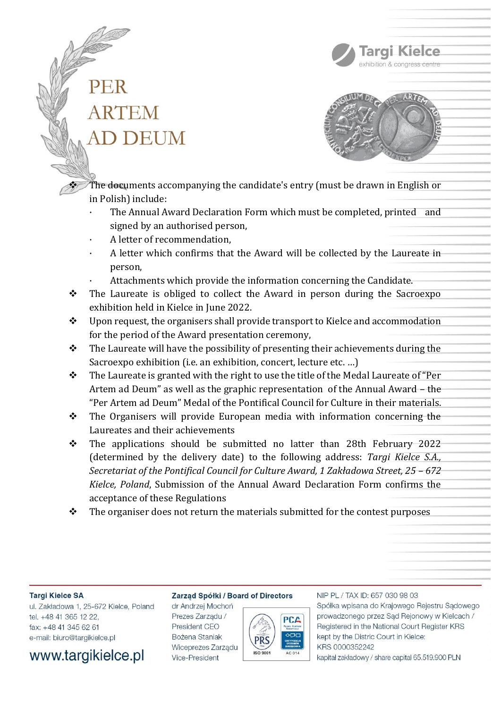



Targi Kielce exhibition & congress centre

❖ The documents accompanying the candidate's entry (must be drawn in English or in Polish) include:

- The Annual Award Declaration Form which must be completed, printed and signed by an authorised person,
- A letter of recommendation,
- A letter which confirms that the Award will be collected by the Laureate in person,
- Attachments which provide the information concerning the Candidate.
- ❖ The Laureate is obliged to collect the Award in person during the Sacroexpo exhibition held in Kielce in June 2022.
- ❖ Upon request, the organisers shall provide transport to Kielce and accommodation for the period of the Award presentation ceremony,
- $\cdot \cdot$  The Laureate will have the possibility of presenting their achievements during the Sacroexpo exhibition (i.e. an exhibition, concert, lecture etc. ...)
- ❖ The Laureate is granted with the right to use the title of the Medal Laureate of "Per Artem ad Deum" as well as the graphic representation of the Annual Award – the "Per Artem ad Deum" Medal of the Pontifical Council for Culture in their materials.
- ❖ The Organisers will provide European media with information concerning the Laureates and their achievements
- ❖ The applications should be submitted no latter than 28th February 2022 (determined by the delivery date) to the following address: *Targi Kielce S.A., Secretariat of the Pontifical Council for Culture Award, 1 Zakładowa Street, 25 – 672 Kielce, Poland*, Submission of the Annual Award Declaration Form confirms the acceptance of these Regulations
- $\bullet$  The organiser does not return the materials submitted for the contest purposes

### **Targi Kielce SA**

ul. Zakładowa 1, 25-672 Kielce, Poland tel. +48 41 365 12 22, fax: +48 41 345 62 61 e-mail: biuro@targikielce.pl



## Zarząd Spółki / Board of Directors

dr Andrzej Mochoń Prezes Zarzadu / President CEO Bożena Staniak Wiceprezes Zarządu Vice-President



## NIP PL / TAX ID: 657 030 98 03 Spółka wpisana do Krajowego Rejestru Sądowego prowadzonego przez Sąd Rejonowy w Kielcach / Registered in the National Court Register KRS kept by the Distric Court in Kielce: KRS 0000352242 kapitał zakładowy / share capital 65.519.900 PLN